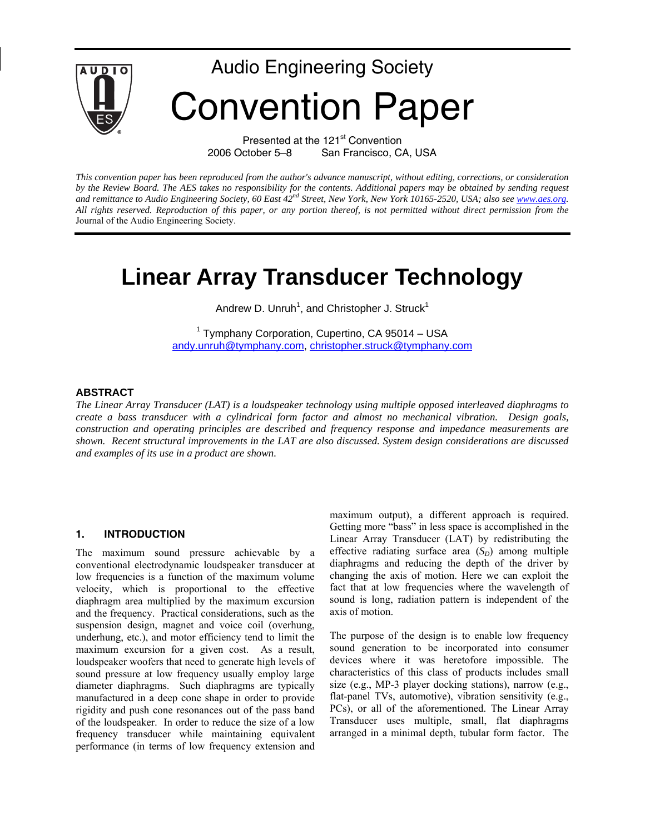

Presented at the 121<sup>st</sup> Convention 2006 October 5–8 San Francisco, CA, USA

*This convention paper has been reproduced from the author's advance manuscript, without editing, corrections, or consideration by the Review Board. The AES takes no responsibility for the contents. Additional papers may be obtained by sending request*  and remittance to Audio Engineering Society, 60 East 42<sup>nd</sup> Street, New York, New York 10165-2520, USA; also see www.aes.org. *All rights reserved. Reproduction of this paper, or any portion thereof, is not permitted without direct permission from the* Journal of the Audio Engineering Society.

# **Linear Array Transducer Technology**

Andrew D. Unruh<sup>1</sup>, and Christopher J. Struck<sup>1</sup>

<sup>1</sup> Tymphany Corporation, Cupertino, CA 95014 - USA andy.unruh@tymphany.com, christopher.struck@tymphany.com

#### **ABSTRACT**

*The Linear Array Transducer (LAT) is a loudspeaker technology using multiple opposed interleaved diaphragms to create a bass transducer with a cylindrical form factor and almost no mechanical vibration. Design goals, construction and operating principles are described and frequency response and impedance measurements are shown. Recent structural improvements in the LAT are also discussed. System design considerations are discussed and examples of its use in a product are shown.* 

#### **1. INTRODUCTION**

The maximum sound pressure achievable by a conventional electrodynamic loudspeaker transducer at low frequencies is a function of the maximum volume velocity, which is proportional to the effective diaphragm area multiplied by the maximum excursion and the frequency. Practical considerations, such as the suspension design, magnet and voice coil (overhung, underhung, etc.), and motor efficiency tend to limit the maximum excursion for a given cost. As a result, loudspeaker woofers that need to generate high levels of sound pressure at low frequency usually employ large diameter diaphragms. Such diaphragms are typically manufactured in a deep cone shape in order to provide rigidity and push cone resonances out of the pass band of the loudspeaker. In order to reduce the size of a low frequency transducer while maintaining equivalent performance (in terms of low frequency extension and maximum output), a different approach is required. Getting more "bass" in less space is accomplished in the Linear Array Transducer (LAT) by redistributing the effective radiating surface area  $(S_D)$  among multiple diaphragms and reducing the depth of the driver by changing the axis of motion. Here we can exploit the fact that at low frequencies where the wavelength of sound is long, radiation pattern is independent of the axis of motion.

The purpose of the design is to enable low frequency sound generation to be incorporated into consumer devices where it was heretofore impossible. The characteristics of this class of products includes small size (e.g., MP-3 player docking stations), narrow (e.g., flat-panel TVs, automotive), vibration sensitivity (e.g., PCs), or all of the aforementioned. The Linear Array Transducer uses multiple, small, flat diaphragms arranged in a minimal depth, tubular form factor. The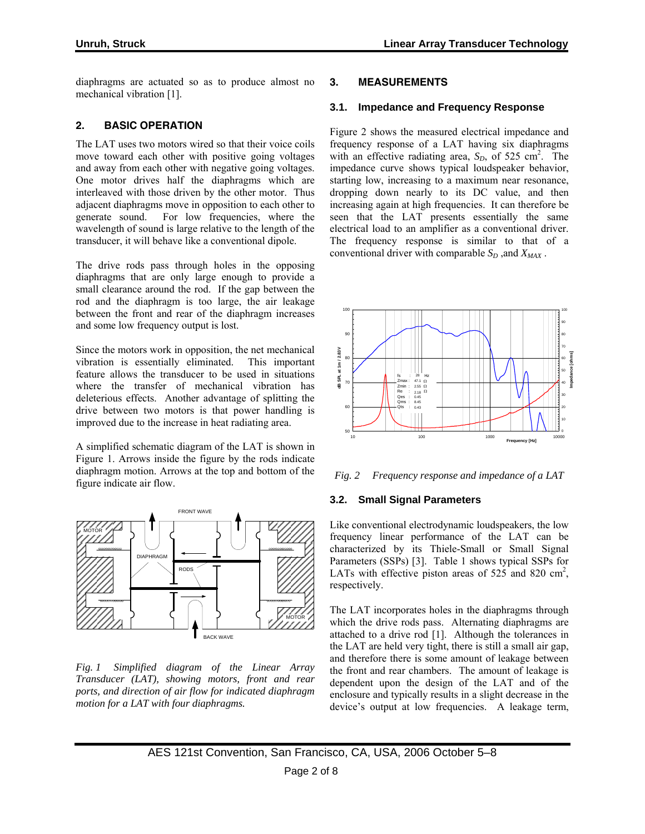diaphragms are actuated so as to produce almost no mechanical vibration [1].

# **2. BASIC OPERATION**

The LAT uses two motors wired so that their voice coils move toward each other with positive going voltages and away from each other with negative going voltages. One motor drives half the diaphragms which are interleaved with those driven by the other motor. Thus adjacent diaphragms move in opposition to each other to generate sound. For low frequencies, where the wavelength of sound is large relative to the length of the transducer, it will behave like a conventional dipole.

The drive rods pass through holes in the opposing diaphragms that are only large enough to provide a small clearance around the rod. If the gap between the rod and the diaphragm is too large, the air leakage between the front and rear of the diaphragm increases and some low frequency output is lost.

Since the motors work in opposition, the net mechanical vibration is essentially eliminated. This important feature allows the transducer to be used in situations where the transfer of mechanical vibration has deleterious effects. Another advantage of splitting the drive between two motors is that power handling is improved due to the increase in heat radiating area.

A simplified schematic diagram of the LAT is shown in Figure 1. Arrows inside the figure by the rods indicate diaphragm motion. Arrows at the top and bottom of the figure indicate air flow.



*Fig. 1 Simplified diagram of the Linear Array Transducer (LAT), showing motors, front and rear ports, and direction of air flow for indicated diaphragm motion for a LAT with four diaphragms.* 

# **3. MEASUREMENTS**

#### **3.1. Impedance and Frequency Response**

Figure 2 shows the measured electrical impedance and frequency response of a LAT having six diaphragms with an effective radiating area,  $S_D$ , of 525 cm<sup>2</sup>. The impedance curve shows typical loudspeaker behavior, starting low, increasing to a maximum near resonance, dropping down nearly to its DC value, and then increasing again at high frequencies. It can therefore be seen that the LAT presents essentially the same electrical load to an amplifier as a conventional driver. The frequency response is similar to that of a conventional driver with comparable  $S_D$ , and  $X_{MAX}$ .



*Fig. 2 Frequency response and impedance of a LAT* 

#### **3.2. Small Signal Parameters**

Like conventional electrodynamic loudspeakers, the low frequency linear performance of the LAT can be characterized by its Thiele-Small or Small Signal Parameters (SSPs) [3]. Table 1 shows typical SSPs for LATs with effective piston areas of  $525$  and  $820 \text{ cm}^2$ , respectively.

The LAT incorporates holes in the diaphragms through which the drive rods pass. Alternating diaphragms are attached to a drive rod [1]. Although the tolerances in the LAT are held very tight, there is still a small air gap, and therefore there is some amount of leakage between the front and rear chambers. The amount of leakage is dependent upon the design of the LAT and of the enclosure and typically results in a slight decrease in the device's output at low frequencies. A leakage term,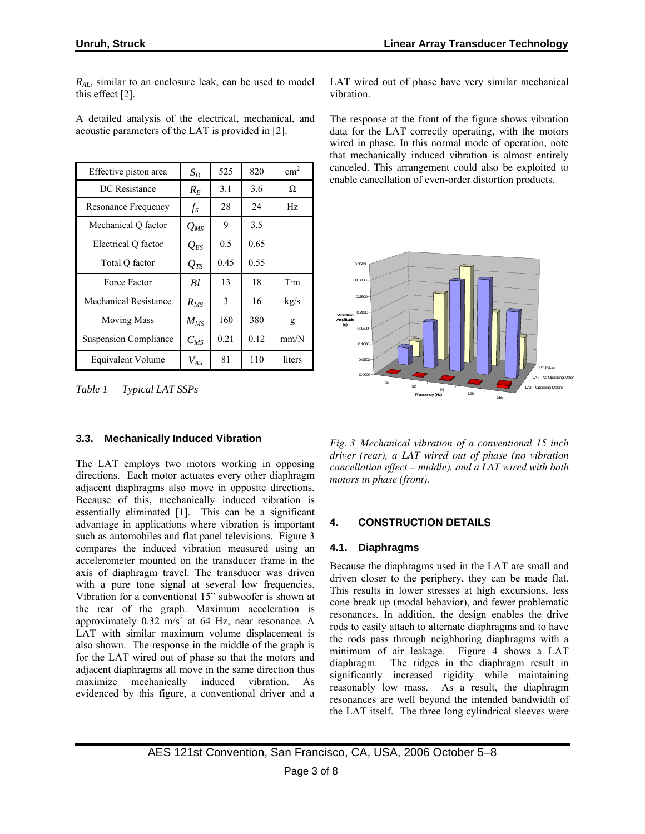*RAL*, similar to an enclosure leak, can be used to model this effect [2].

A detailed analysis of the electrical, mechanical, and acoustic parameters of the LAT is provided in [2].

| Effective piston area        | $S_D$    | 525  | 820  | $\text{cm}^2$ |
|------------------------------|----------|------|------|---------------|
| DC Resistance                | $R_E$    | 3.1  | 3.6  | Ω             |
| Resonance Frequency          | $f_S$    | 28   | 24   | Hz            |
| Mechanical Q factor          | $Q_{MS}$ | 9    | 3.5  |               |
| Electrical Q factor          | $Q_{ES}$ | 0.5  | 0.65 |               |
| Total Q factor               | $Q_{TS}$ | 0.45 | 0.55 |               |
| Force Factor                 | Bl       | 13   | 18   | $T \cdot m$   |
| <b>Mechanical Resistance</b> | $R_{MS}$ | 3    | 16   | kg/s          |
| <b>Moving Mass</b>           | $M_{MS}$ | 160  | 380  | g             |
| <b>Suspension Compliance</b> | $C_{MS}$ | 0.21 | 0.12 | mm/N          |
| <b>Equivalent Volume</b>     | $V_{AS}$ | 81   | 110  | liters        |

*Table 1 Typical LAT SSPs* 

# **3.3. Mechanically Induced Vibration**

The LAT employs two motors working in opposing directions. Each motor actuates every other diaphragm adjacent diaphragms also move in opposite directions. Because of this, mechanically induced vibration is essentially eliminated [1]. This can be a significant advantage in applications where vibration is important such as automobiles and flat panel televisions. Figure 3 compares the induced vibration measured using an accelerometer mounted on the transducer frame in the axis of diaphragm travel. The transducer was driven with a pure tone signal at several low frequencies. Vibration for a conventional 15" subwoofer is shown at the rear of the graph. Maximum acceleration is approximately  $0.32 \text{ m/s}^2$  at 64 Hz, near resonance. A LAT with similar maximum volume displacement is also shown. The response in the middle of the graph is for the LAT wired out of phase so that the motors and adjacent diaphragms all move in the same direction thus maximize mechanically induced vibration. As evidenced by this figure, a conventional driver and a

LAT wired out of phase have very similar mechanical vibration.

The response at the front of the figure shows vibration data for the LAT correctly operating, with the motors wired in phase. In this normal mode of operation, note that mechanically induced vibration is almost entirely canceled. This arrangement could also be exploited to enable cancellation of even-order distortion products.



*Fig. 3 Mechanical vibration of a conventional 15 inch driver (rear), a LAT wired out of phase (no vibration cancellation effect – middle), and a LAT wired with both motors in phase (front).* 

# **4. CONSTRUCTION DETAILS**

# **4.1. Diaphragms**

Because the diaphragms used in the LAT are small and driven closer to the periphery, they can be made flat. This results in lower stresses at high excursions, less cone break up (modal behavior), and fewer problematic resonances. In addition, the design enables the drive rods to easily attach to alternate diaphragms and to have the rods pass through neighboring diaphragms with a minimum of air leakage. Figure 4 shows a LAT diaphragm. The ridges in the diaphragm result in significantly increased rigidity while maintaining reasonably low mass. As a result, the diaphragm resonances are well beyond the intended bandwidth of the LAT itself. The three long cylindrical sleeves were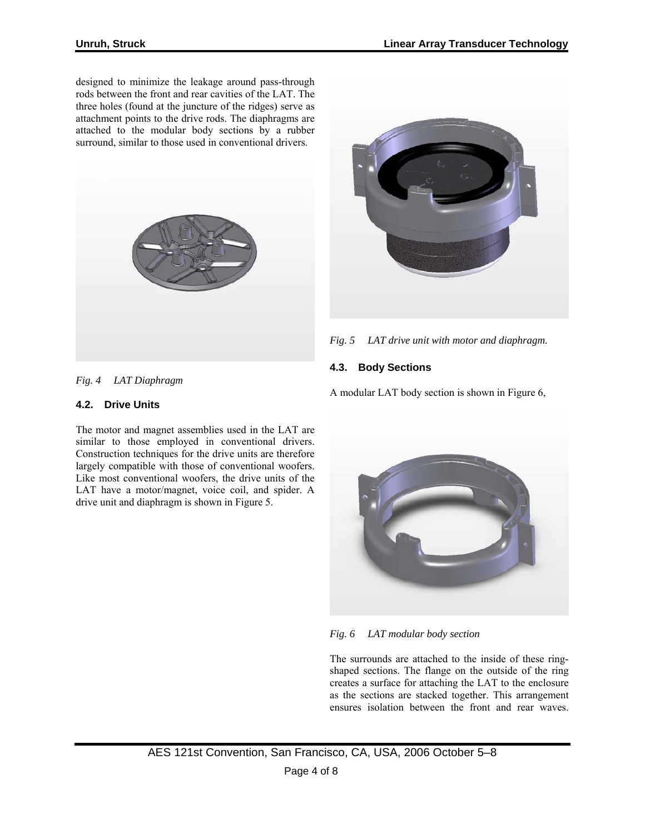designed to minimize the leakage around pass-through rods between the front and rear cavities of the LAT. The three holes (found at the juncture of the ridges) serve as attachment points to the drive rods. The diaphragms are attached to the modular body sections by a rubber surround, similar to those used in conventional drivers.





*Fig. 5 LAT drive unit with motor and diaphragm.*

# **4.3. Body Sections**

A modular LAT body section is shown in Figure 6,



*Fig. 6 LAT modular body section*

The surrounds are attached to the inside of these ringshaped sections. The flange on the outside of the ring creates a surface for attaching the LAT to the enclosure as the sections are stacked together. This arrangement ensures isolation between the front and rear waves.

*Fig. 4 LAT Diaphragm* 

#### **4.2. Drive Units**

The motor and magnet assemblies used in the LAT are similar to those employed in conventional drivers. Construction techniques for the drive units are therefore largely compatible with those of conventional woofers. Like most conventional woofers, the drive units of the LAT have a motor/magnet, voice coil, and spider. A drive unit and diaphragm is shown in Figure 5.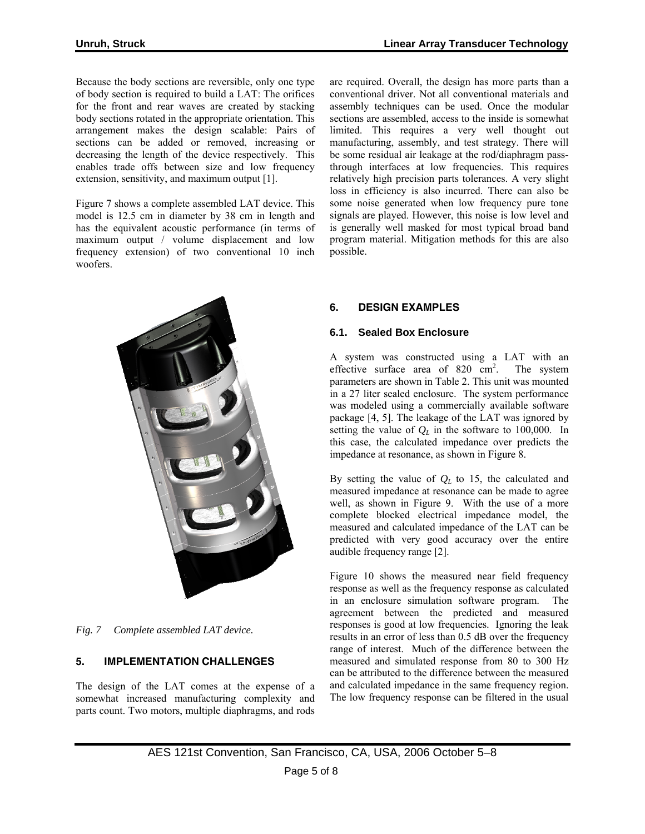Because the body sections are reversible, only one type of body section is required to build a LAT: The orifices for the front and rear waves are created by stacking body sections rotated in the appropriate orientation. This arrangement makes the design scalable: Pairs of sections can be added or removed, increasing or decreasing the length of the device respectively. This enables trade offs between size and low frequency extension, sensitivity, and maximum output [1].

Figure 7 shows a complete assembled LAT device. This model is 12.5 cm in diameter by 38 cm in length and has the equivalent acoustic performance (in terms of maximum output / volume displacement and low frequency extension) of two conventional 10 inch woofers.



*Fig. 7 Complete assembled LAT device.*

# **5. IMPLEMENTATION CHALLENGES**

The design of the LAT comes at the expense of a somewhat increased manufacturing complexity and parts count. Two motors, multiple diaphragms, and rods are required. Overall, the design has more parts than a conventional driver. Not all conventional materials and assembly techniques can be used. Once the modular sections are assembled, access to the inside is somewhat limited. This requires a very well thought out manufacturing, assembly, and test strategy. There will be some residual air leakage at the rod/diaphragm passthrough interfaces at low frequencies. This requires relatively high precision parts tolerances. A very slight loss in efficiency is also incurred. There can also be some noise generated when low frequency pure tone signals are played. However, this noise is low level and is generally well masked for most typical broad band program material. Mitigation methods for this are also possible.

# **6. DESIGN EXAMPLES**

#### **6.1. Sealed Box Enclosure**

A system was constructed using a LAT with an effective surface area of  $820 \text{ cm}^2$ . . The system parameters are shown in Table 2. This unit was mounted in a 27 liter sealed enclosure. The system performance was modeled using a commercially available software package [4, 5]. The leakage of the LAT was ignored by setting the value of  $Q_L$  in the software to 100,000. In this case, the calculated impedance over predicts the impedance at resonance, as shown in Figure 8.

By setting the value of *QL* to 15, the calculated and measured impedance at resonance can be made to agree well, as shown in Figure 9. With the use of a more complete blocked electrical impedance model, the measured and calculated impedance of the LAT can be predicted with very good accuracy over the entire audible frequency range [2].

Figure 10 shows the measured near field frequency response as well as the frequency response as calculated in an enclosure simulation software program. The agreement between the predicted and measured responses is good at low frequencies. Ignoring the leak results in an error of less than 0.5 dB over the frequency range of interest. Much of the difference between the measured and simulated response from 80 to 300 Hz can be attributed to the difference between the measured and calculated impedance in the same frequency region. The low frequency response can be filtered in the usual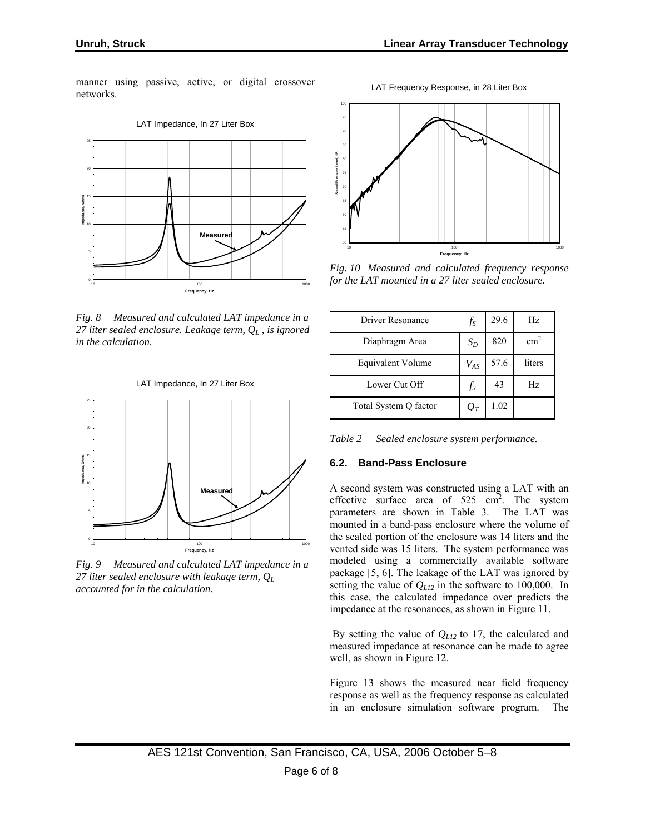manner using passive, active, or digital crossover networks.



*Fig. 8 Measured and calculated LAT impedance in a 27 liter sealed enclosure. Leakage term, QL , is ignored in the calculation.*





*Fig. 9 Measured and calculated LAT impedance in a 27 liter sealed enclosure with leakage term, QL accounted for in the calculation.*



LAT Frequency Response, in 28 Liter Box

*Fig. 10 Measured and calculated frequency response for the LAT mounted in a 27 liter sealed enclosure.*

| Driver Resonance      | $f_S$    | 29.6 | Hz.             |
|-----------------------|----------|------|-----------------|
| Diaphragm Area        | $S_D$    | 820  | cm <sup>2</sup> |
| Equivalent Volume     | $V_{AS}$ | 57.6 | liters          |
| Lower Cut Off         | $f_3$    | 43   | Hz              |
| Total System Q factor | $O_T$    | 1.02 |                 |

*Table 2 Sealed enclosure system performance.*

# **6.2. Band-Pass Enclosure**

A second system was constructed using a LAT with an effective surface area of  $525 \text{ cm}^2$ . The system parameters are shown in Table 3. The LAT was mounted in a band-pass enclosure where the volume of the sealed portion of the enclosure was 14 liters and the vented side was 15 liters. The system performance was modeled using a commercially available software package [5, 6]. The leakage of the LAT was ignored by setting the value of *QL12* in the software to 100,000. In this case, the calculated impedance over predicts the impedance at the resonances, as shown in Figure 11.

 By setting the value of *QL12* to 17, the calculated and measured impedance at resonance can be made to agree well, as shown in Figure 12.

Figure 13 shows the measured near field frequency response as well as the frequency response as calculated in an enclosure simulation software program. The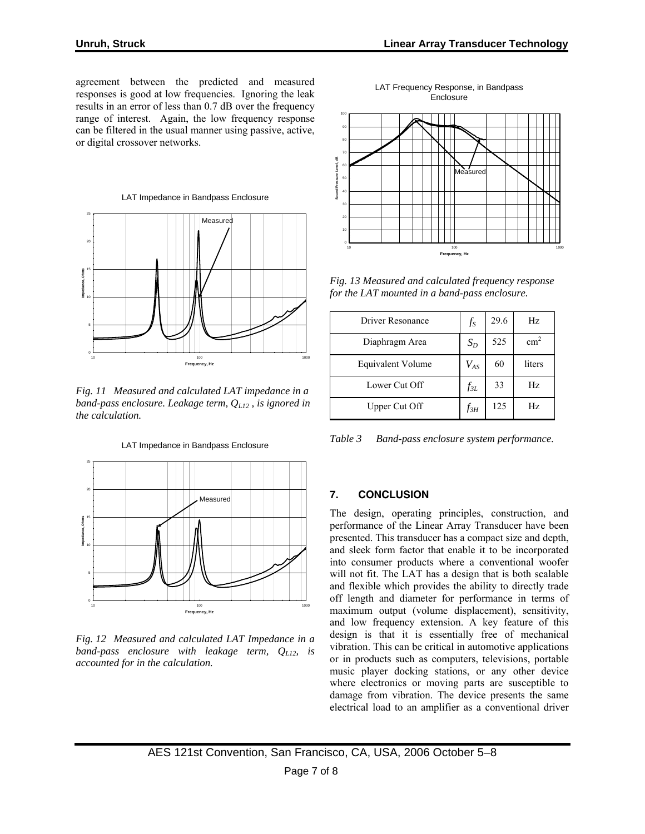agreement between the predicted and measured responses is good at low frequencies. Ignoring the leak results in an error of less than 0.7 dB over the frequency range of interest. Again, the low frequency response can be filtered in the usual manner using passive, active, or digital crossover networks.



*Fig. 11 Measured and calculated LAT impedance in a band-pass enclosure. Leakage term, QL12 , is ignored in the calculation.*



*Fig. 12 Measured and calculated LAT Impedance in a band-pass enclosure with leakage term, QL12, is accounted for in the calculation.* 

LAT Frequency Response, in Bandpass Enclosure



*Fig. 13 Measured and calculated frequency response for the LAT mounted in a band-pass enclosure.*

| Driver Resonance         | $f_S$    | 29.6 | Hz            |
|--------------------------|----------|------|---------------|
| Diaphragm Area           | $S_D$    | 525  | $\text{cm}^2$ |
| <b>Equivalent Volume</b> | $V_{AS}$ | 60   | liters        |
| Lower Cut Off            | $f_{3L}$ | 33   | Hz            |
| Upper Cut Off            | $f_{3H}$ | 125  | Hz.           |

*Table 3 Band-pass enclosure system performance.* 

# **7. CONCLUSION**

The design, operating principles, construction, and performance of the Linear Array Transducer have been presented. This transducer has a compact size and depth, and sleek form factor that enable it to be incorporated into consumer products where a conventional woofer will not fit. The LAT has a design that is both scalable and flexible which provides the ability to directly trade off length and diameter for performance in terms of maximum output (volume displacement), sensitivity, and low frequency extension. A key feature of this design is that it is essentially free of mechanical vibration. This can be critical in automotive applications or in products such as computers, televisions, portable music player docking stations, or any other device where electronics or moving parts are susceptible to damage from vibration. The device presents the same electrical load to an amplifier as a conventional driver